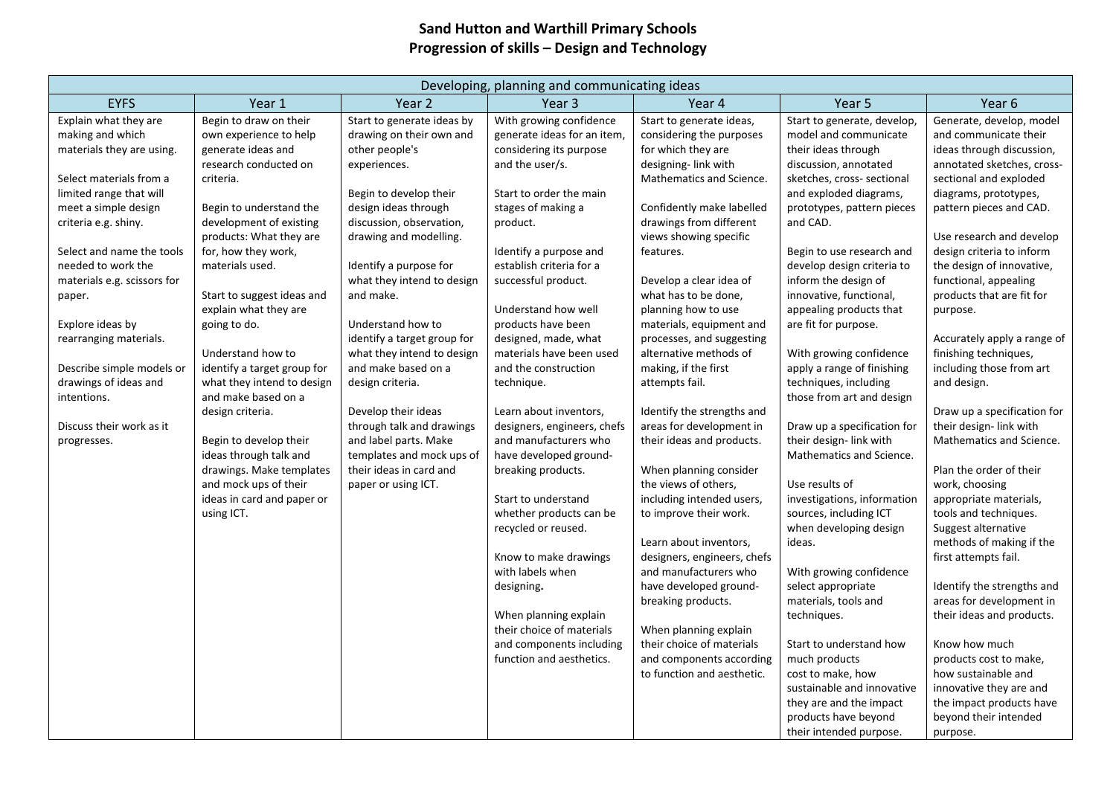## **Sand Hutton and Warthill Primary Schools Progression of skills – Design and Technology**

| Developing, planning and communicating ideas                                                                                                                                                                                                                                                                                                                                                                                           |                                                                                                                                                                                                                                                                                                                                                                                                                                                                                                                                                                                                  |                                                                                                                                                                                                                                                                                                                                                                                                                                                                                                                                                                |                                                                                                                                                                                                                                                                                                                                                                                                                                                                                                                                                                                                                                                                                                                                                                           |                                                                                                                                                                                                                                                                                                                                                                                                                                                                                                                                                                                                                                                                                                                                                                                                                                                         |                                                                                                                                                                                                                                                                                                                                                                                                                                                                                                                                                                                                                                                                                                                                                                                                                                 |                                                                                                                                                                                                                                                                                                                                                                                                                                                                                                                                                                                                                                                                                                                                                                                                                                                          |
|----------------------------------------------------------------------------------------------------------------------------------------------------------------------------------------------------------------------------------------------------------------------------------------------------------------------------------------------------------------------------------------------------------------------------------------|--------------------------------------------------------------------------------------------------------------------------------------------------------------------------------------------------------------------------------------------------------------------------------------------------------------------------------------------------------------------------------------------------------------------------------------------------------------------------------------------------------------------------------------------------------------------------------------------------|----------------------------------------------------------------------------------------------------------------------------------------------------------------------------------------------------------------------------------------------------------------------------------------------------------------------------------------------------------------------------------------------------------------------------------------------------------------------------------------------------------------------------------------------------------------|---------------------------------------------------------------------------------------------------------------------------------------------------------------------------------------------------------------------------------------------------------------------------------------------------------------------------------------------------------------------------------------------------------------------------------------------------------------------------------------------------------------------------------------------------------------------------------------------------------------------------------------------------------------------------------------------------------------------------------------------------------------------------|---------------------------------------------------------------------------------------------------------------------------------------------------------------------------------------------------------------------------------------------------------------------------------------------------------------------------------------------------------------------------------------------------------------------------------------------------------------------------------------------------------------------------------------------------------------------------------------------------------------------------------------------------------------------------------------------------------------------------------------------------------------------------------------------------------------------------------------------------------|---------------------------------------------------------------------------------------------------------------------------------------------------------------------------------------------------------------------------------------------------------------------------------------------------------------------------------------------------------------------------------------------------------------------------------------------------------------------------------------------------------------------------------------------------------------------------------------------------------------------------------------------------------------------------------------------------------------------------------------------------------------------------------------------------------------------------------|----------------------------------------------------------------------------------------------------------------------------------------------------------------------------------------------------------------------------------------------------------------------------------------------------------------------------------------------------------------------------------------------------------------------------------------------------------------------------------------------------------------------------------------------------------------------------------------------------------------------------------------------------------------------------------------------------------------------------------------------------------------------------------------------------------------------------------------------------------|
| <b>EYFS</b>                                                                                                                                                                                                                                                                                                                                                                                                                            | Year 1                                                                                                                                                                                                                                                                                                                                                                                                                                                                                                                                                                                           | Year 2                                                                                                                                                                                                                                                                                                                                                                                                                                                                                                                                                         | Year 3                                                                                                                                                                                                                                                                                                                                                                                                                                                                                                                                                                                                                                                                                                                                                                    | Year 4                                                                                                                                                                                                                                                                                                                                                                                                                                                                                                                                                                                                                                                                                                                                                                                                                                                  | Year 5                                                                                                                                                                                                                                                                                                                                                                                                                                                                                                                                                                                                                                                                                                                                                                                                                          | Year 6                                                                                                                                                                                                                                                                                                                                                                                                                                                                                                                                                                                                                                                                                                                                                                                                                                                   |
| Explain what they are<br>making and which<br>materials they are using.<br>Select materials from a<br>limited range that will<br>meet a simple design<br>criteria e.g. shiny.<br>Select and name the tools<br>needed to work the<br>materials e.g. scissors for<br>paper.<br>Explore ideas by<br>rearranging materials.<br>Describe simple models or<br>drawings of ideas and<br>intentions.<br>Discuss their work as it<br>progresses. | Begin to draw on their<br>own experience to help<br>generate ideas and<br>research conducted on<br>criteria.<br>Begin to understand the<br>development of existing<br>products: What they are<br>for, how they work,<br>materials used.<br>Start to suggest ideas and<br>explain what they are<br>going to do.<br>Understand how to<br>identify a target group for<br>what they intend to design<br>and make based on a<br>design criteria.<br>Begin to develop their<br>ideas through talk and<br>drawings. Make templates<br>and mock ups of their<br>ideas in card and paper or<br>using ICT. | Start to generate ideas by<br>drawing on their own and<br>other people's<br>experiences.<br>Begin to develop their<br>design ideas through<br>discussion, observation,<br>drawing and modelling.<br>Identify a purpose for<br>what they intend to design<br>and make.<br>Understand how to<br>identify a target group for<br>what they intend to design<br>and make based on a<br>design criteria.<br>Develop their ideas<br>through talk and drawings<br>and label parts. Make<br>templates and mock ups of<br>their ideas in card and<br>paper or using ICT. | With growing confidence<br>generate ideas for an item,<br>considering its purpose<br>and the user/s.<br>Start to order the main<br>stages of making a<br>product.<br>Identify a purpose and<br>establish criteria for a<br>successful product.<br>Understand how well<br>products have been<br>designed, made, what<br>materials have been used<br>and the construction<br>technique.<br>Learn about inventors,<br>designers, engineers, chefs<br>and manufacturers who<br>have developed ground-<br>breaking products.<br>Start to understand<br>whether products can be<br>recycled or reused.<br>Know to make drawings<br>with labels when<br>designing.<br>When planning explain<br>their choice of materials<br>and components including<br>function and aesthetics. | Start to generate ideas,<br>considering the purposes<br>for which they are<br>designing-link with<br>Mathematics and Science.<br>Confidently make labelled<br>drawings from different<br>views showing specific<br>features.<br>Develop a clear idea of<br>what has to be done,<br>planning how to use<br>materials, equipment and<br>processes, and suggesting<br>alternative methods of<br>making, if the first<br>attempts fail.<br>Identify the strengths and<br>areas for development in<br>their ideas and products.<br>When planning consider<br>the views of others,<br>including intended users,<br>to improve their work.<br>Learn about inventors,<br>designers, engineers, chefs<br>and manufacturers who<br>have developed ground-<br>breaking products.<br>When planning explain<br>their choice of materials<br>and components according | Start to generate, develop,<br>model and communicate<br>their ideas through<br>discussion, annotated<br>sketches, cross- sectional<br>and exploded diagrams,<br>prototypes, pattern pieces<br>and CAD.<br>Begin to use research and<br>develop design criteria to<br>inform the design of<br>innovative, functional,<br>appealing products that<br>are fit for purpose.<br>With growing confidence<br>apply a range of finishing<br>techniques, including<br>those from art and design<br>Draw up a specification for<br>their design- link with<br>Mathematics and Science.<br>Use results of<br>investigations, information<br>sources, including ICT<br>when developing design<br>ideas.<br>With growing confidence<br>select appropriate<br>materials, tools and<br>techniques.<br>Start to understand how<br>much products | Generate, develop, model<br>and communicate their<br>ideas through discussion,<br>annotated sketches, cross-<br>sectional and exploded<br>diagrams, prototypes,<br>pattern pieces and CAD.<br>Use research and develop<br>design criteria to inform<br>the design of innovative,<br>functional, appealing<br>products that are fit for<br>purpose.<br>Accurately apply a range of<br>finishing techniques,<br>including those from art<br>and design.<br>Draw up a specification for<br>their design- link with<br>Mathematics and Science.<br>Plan the order of their<br>work, choosing<br>appropriate materials,<br>tools and techniques.<br>Suggest alternative<br>methods of making if the<br>first attempts fail.<br>Identify the strengths and<br>areas for development in<br>their ideas and products.<br>Know how much<br>products cost to make, |
|                                                                                                                                                                                                                                                                                                                                                                                                                                        |                                                                                                                                                                                                                                                                                                                                                                                                                                                                                                                                                                                                  |                                                                                                                                                                                                                                                                                                                                                                                                                                                                                                                                                                |                                                                                                                                                                                                                                                                                                                                                                                                                                                                                                                                                                                                                                                                                                                                                                           | to function and aesthetic.                                                                                                                                                                                                                                                                                                                                                                                                                                                                                                                                                                                                                                                                                                                                                                                                                              | cost to make, how<br>sustainable and innovative<br>they are and the impact<br>products have beyond                                                                                                                                                                                                                                                                                                                                                                                                                                                                                                                                                                                                                                                                                                                              | how sustainable and<br>innovative they are and<br>the impact products have<br>beyond their intended                                                                                                                                                                                                                                                                                                                                                                                                                                                                                                                                                                                                                                                                                                                                                      |
|                                                                                                                                                                                                                                                                                                                                                                                                                                        |                                                                                                                                                                                                                                                                                                                                                                                                                                                                                                                                                                                                  |                                                                                                                                                                                                                                                                                                                                                                                                                                                                                                                                                                |                                                                                                                                                                                                                                                                                                                                                                                                                                                                                                                                                                                                                                                                                                                                                                           |                                                                                                                                                                                                                                                                                                                                                                                                                                                                                                                                                                                                                                                                                                                                                                                                                                                         | their intended purpose.                                                                                                                                                                                                                                                                                                                                                                                                                                                                                                                                                                                                                                                                                                                                                                                                         | purpose.                                                                                                                                                                                                                                                                                                                                                                                                                                                                                                                                                                                                                                                                                                                                                                                                                                                 |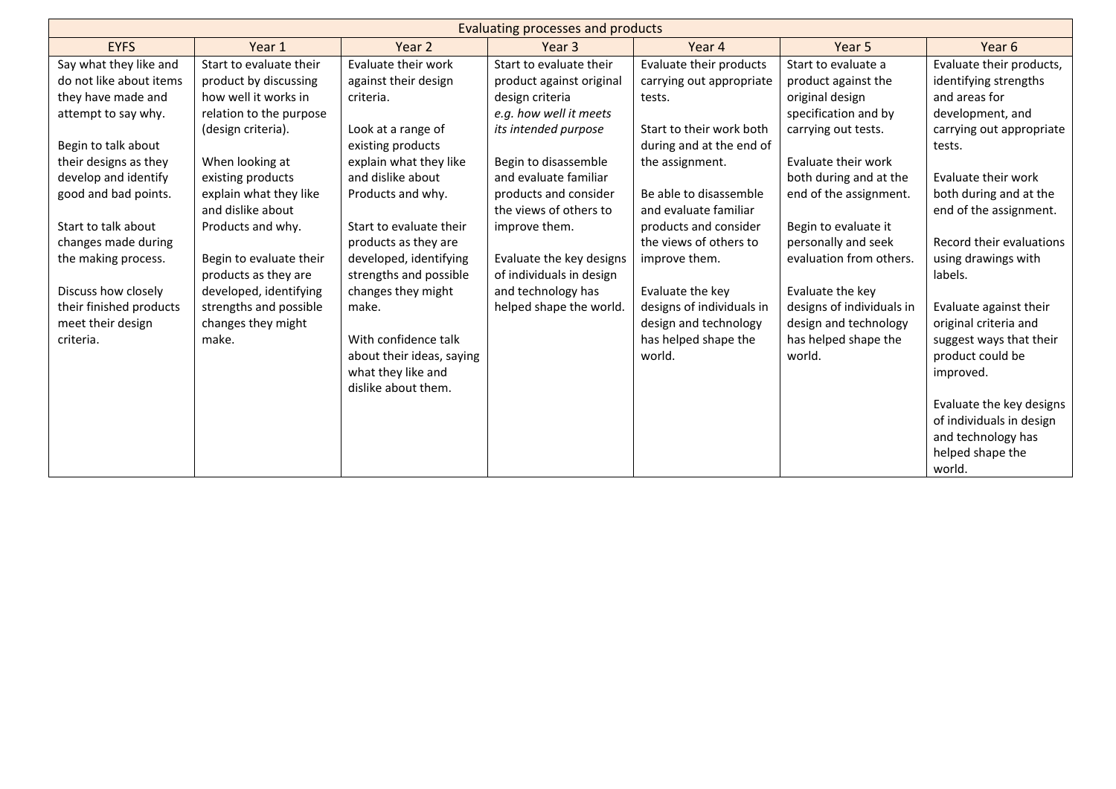| Evaluating processes and products |                         |                           |                          |                           |                           |                          |
|-----------------------------------|-------------------------|---------------------------|--------------------------|---------------------------|---------------------------|--------------------------|
| <b>EYFS</b>                       | Year 1                  | Year 2                    | Year <sub>3</sub>        | Year 4                    | Year 5                    | Year 6                   |
| Say what they like and            | Start to evaluate their | Evaluate their work       | Start to evaluate their  | Evaluate their products   | Start to evaluate a       | Evaluate their products, |
| do not like about items           | product by discussing   | against their design      | product against original | carrying out appropriate  | product against the       | identifying strengths    |
| they have made and                | how well it works in    | criteria.                 | design criteria          | tests.                    | original design           | and areas for            |
| attempt to say why.               | relation to the purpose |                           | e.g. how well it meets   |                           | specification and by      | development, and         |
|                                   | (design criteria).      | Look at a range of        | its intended purpose     | Start to their work both  | carrying out tests.       | carrying out appropriate |
| Begin to talk about               |                         | existing products         |                          | during and at the end of  |                           | tests.                   |
| their designs as they             | When looking at         | explain what they like    | Begin to disassemble     | the assignment.           | Evaluate their work       |                          |
| develop and identify              | existing products       | and dislike about         | and evaluate familiar    |                           | both during and at the    | Evaluate their work      |
| good and bad points.              | explain what they like  | Products and why.         | products and consider    | Be able to disassemble    | end of the assignment.    | both during and at the   |
|                                   | and dislike about       |                           | the views of others to   | and evaluate familiar     |                           | end of the assignment.   |
| Start to talk about               | Products and why.       | Start to evaluate their   | improve them.            | products and consider     | Begin to evaluate it      |                          |
| changes made during               |                         | products as they are      |                          | the views of others to    | personally and seek       | Record their evaluations |
| the making process.               | Begin to evaluate their | developed, identifying    | Evaluate the key designs | improve them.             | evaluation from others.   | using drawings with      |
|                                   | products as they are    | strengths and possible    | of individuals in design |                           |                           | labels.                  |
| Discuss how closely               | developed, identifying  | changes they might        | and technology has       | Evaluate the key          | Evaluate the key          |                          |
| their finished products           | strengths and possible  | make.                     | helped shape the world.  | designs of individuals in | designs of individuals in | Evaluate against their   |
| meet their design                 | changes they might      |                           |                          | design and technology     | design and technology     | original criteria and    |
| criteria.                         | make.                   | With confidence talk      |                          | has helped shape the      | has helped shape the      | suggest ways that their  |
|                                   |                         | about their ideas, saying |                          | world.                    | world.                    | product could be         |
|                                   |                         | what they like and        |                          |                           |                           | improved.                |
|                                   |                         | dislike about them.       |                          |                           |                           |                          |
|                                   |                         |                           |                          |                           |                           | Evaluate the key designs |
|                                   |                         |                           |                          |                           |                           | of individuals in design |
|                                   |                         |                           |                          |                           |                           | and technology has       |
|                                   |                         |                           |                          |                           |                           | helped shape the         |
|                                   |                         |                           |                          |                           |                           | world.                   |